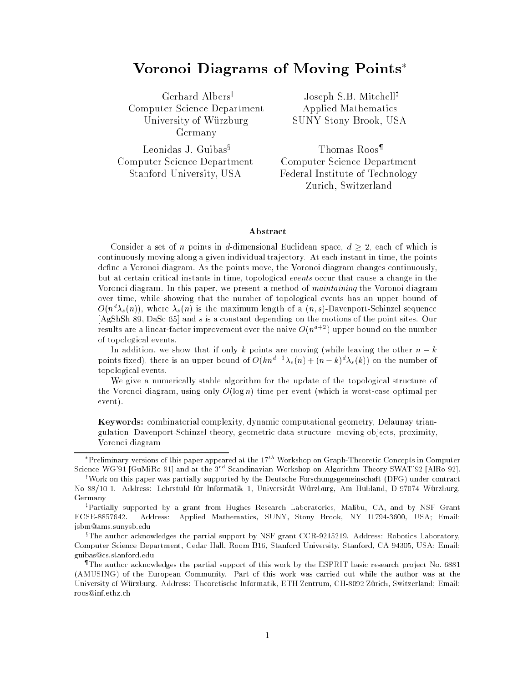# Voronoi Diagrams of Moving Points

Gerhard Albers<sup>†</sup> Computer Science Department University of Wurzburg Germany

Joseph S.B. Mitchell<sup>‡</sup> Applied Mathematics SUNY Stony Brook, USA

Leonidas J. Guibas $\S$ Computer Science Department Stanford University, USA

Thomas Roos<sup>¶</sup> Computer Science Department Federal Institute of Technology Zurich, Switzerland

### Abstract

Consider a set of n points in d-dimensional Euclidean space,  $d > 2$ , each of which is continuously moving along a given individual trajectory. At each instant in time, the points define a Voronoi diagram. As the points move, the Voronoi diagram changes continuously, but at certain critical instants in time, topological events occur that cause a change in the Voronoi diagram. In this paper, we present a method of maintaining the Voronoi diagram over time, while showing that the number of topological events has an upper bound of  $O(n^2\lambda_s(n))$ , where  $\lambda_s(n)$  is the maximum length of a  $(n,s)$ -Davenport-Schinzel sequence [AgShSh 89, DaSc 65] and <sup>s</sup> is a constant depending on the motions of the point sites. Our results are a linear-factor improvement over the naive  $O(n^{d+2})$  upper bound on the number of topological events.

In addition, we show that if only k points are moving (while leaving the other  $n - k$ points itxed), there is an upper bound of  $O(kn^2 - \lambda_s(n) + (n - \kappa)^2 \lambda_s(\kappa))$  on the number of topological events.

We give a numerically stable algorithm for the update of the topological structure of the Voronoi diagram, using only  $O(\log n)$  time per event (which is worst-case optimal per event).

Keywords: combinatorial complexity, dynamic computational geometry, Delaunay triangulation, Davenport-Schinzel theory, geometric data structure, moving objects, proximity, Voronoi diagram

Preliminary versions of this paper appeared at the 17th Workshop on Graph-Theoretic Concepts in Computer Science WG'91 [GuMiRo 91] and at the 3<sup>rd</sup> Scandinavian Workshop on Algorithm Theory SWAT'92 [AlRo 92].

<sup>&</sup>lt;sup>†</sup>Work on this paper was partially supported by the Deutsche Forschungsgemeinschaft (DFG) under contract No 88/10-1. Address: Lehrstuhl fur Informatik 1, Universitat Wurzburg, Am Hubland, D-97074 Wurzburg, Germany

<sup>z</sup> Partially supported by a grant from Hughes Research Laboratories, Malibu, CA, and by NSF Grant ECSE-8857642. Address: Applied Mathematics, SUNY, Stony Brook, NY 11794-3600, USA; Email: jsbm@ams.sunysb.edu

<sup>x</sup> The author acknowledges the partial support by NSF grant CCR-9215219. Address: Robotics Laboratory, Computer Science Department, Cedar Hall, Room B16, Stanford University, Stanford, CA 94305, USA; Email: guibas@cs.stanford.edu

<sup>{</sup> The author acknowledges the partial support of this work by the ESPRIT basic research project No. 6881 (AMUSING) of the European Community. Part of this work was carried out while the author was at the University of Wurzburg. Address: Theoretische Informatik, ETH Zentrum, CH-8092 Zurich, Switzerland; Email: roos@inf.ethz.ch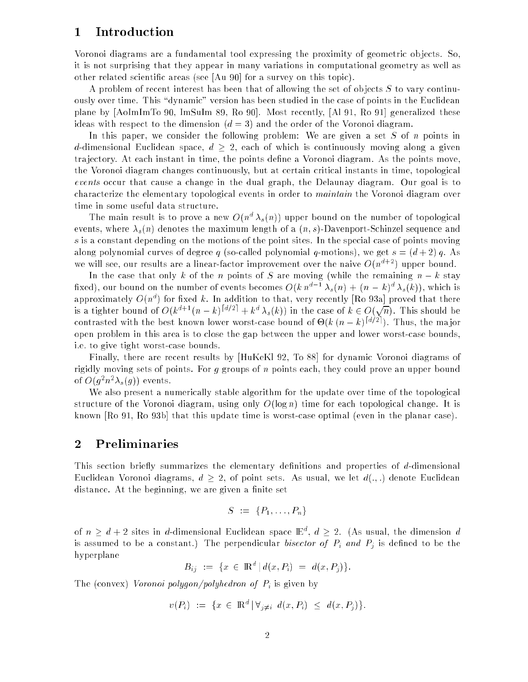#### 1Introduction

Voronoi diagrams are a fundamental tool expressing the proximity of geometric ob jects. So, it is not surprising that they appear in many variations in computational geometry as well as other related scientic areas (see [Au 90] for a survey on this topic).

A problem of recent interest has been that of allowing the set of objects  $S$  to vary continuously over time. This "dynamic" version has been studied in the case of points in the Euclidean plane by [AoImImTo 90, ImSuIm 89, Ro 90]. Most recently, [Al 91, Ro 91] generalized these ideas with respect to the dimension  $(d = 3)$  and the order of the Voronoi diagram.

In this paper, we consider the following problem: We are given a set  $S$  of  $n$  points in d-dimensional Euclidean space,  $d \geq 2$ , each of which is continuously moving along a given tra jectory. At each instant in time, the points dene a Voronoi diagram. As the points move, the Voronoi diagram changes continuously, but at certain critical instants in time, topological events occur that cause a change in the dual graph, the Delaunay diagram. Our goal is to characterize the elementary topological events in order to maintain the Voronoi diagram over time in some useful data structure.

The main result is to prove a new  $O(n^d |\lambda_s(n))$  upper bound on the number of topological events, where  $\lambda_s(n)$  denotes the maximum length of a  $(n, s)$ -Davenport-Schinzel sequence and s is a constant depending on the motions of the point sites. In the special case of points moving along polynomial curves of degree q (so-called polynomial q-motions), we get  $s = (d+2)q$ . As we will see, our results are a linear-factor improvement over the naive  $O(n^{d+2})$  upper bound.

In the case that only k of the n points of S are moving (while the remaining  $n - k$  stay fixed), our bound on the number of events becomes  $O(k n^{d-1} \lambda_s(n) + (n-k)^d \lambda_s(k))$ , which is approximately  $O(n^d)$  for fixed k. In addition to that, very recently [Ro 93a] proved that there is a tighter bound of  $O(k^{d+1}(n-k)^{[d/2]} + k^d \lambda_s(k))$  in the case of  $k \in O(\sqrt{n})$ . This should be contrasted with the best known lower worst-case bound of  $\Theta(k (n-k)^{[d/2]})$ . Thus, the major open problem in this area is to close the gap between the upper and lower worst-case bounds, i.e. to give tight worst-case bounds.

Finally, there are recent results by [HuKeKl 92, To 88] for dynamic Voronoi diagrams of rigidly moving sets of points. For  $g$  groups of  $n$  points each, they could prove an upper bound of  $O(g^m \wedge_s(g))$  events.

We also present a numerically stable algorithm for the update over time of the topological structure of the Voronoi diagram, using only  $O(\log n)$  time for each topological change. It is known [Ro 91, Ro 93b] that this update time is worst-case optimal (even in the planar case).

#### 2Preliminaries

This section briefly summarizes the elementary definitions and properties of  $d$ -dimensional Euclidean Voronoi diagrams,  $d \geq 2$ , of point sets. As usual, we let  $d(.,.)$  denote Euclidean distance. At the beginning, we are given a finite set

$$
S := \{P_1, \ldots, P_n\}
$$

of  $n > d + 2$  sites in d-dimensional Euclidean space  $\mathbb{E}^d$ ,  $d > 2$ . (As usual, the dimension d is assumed to be a constant.) The perpendicular *bisector of*  $P_i$  *and*  $P_j$  is defined to be the hyperplane

$$
B_{ij} := \{ x \in \mathbb{R}^d \, | \, d(x, P_i) = d(x, P_j) \}.
$$

The (convex) Voronoi polygon/polyhedron of  $P_i$  is given by

$$
v(P_i) := \{ x \in \mathbb{R}^d \, | \, \forall_{j \neq i} \, d(x, P_i) \leq d(x, P_j) \}.
$$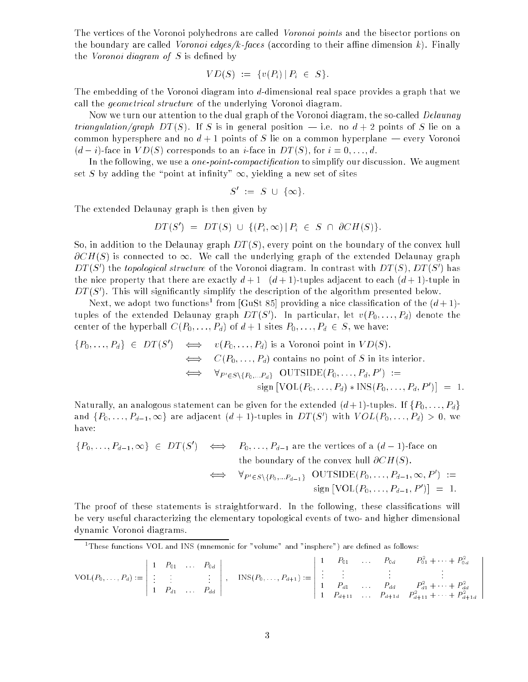The vertices of the Voronoi polyhedrons are called Voronoi points and the bisector portions on the boundary are called *Voronoi edges/k-faces* (according to their affine dimension k). Finally the Voronoi diagram of  $S$  is defined by

$$
VD(S) := \{v(P_i) \,|\, P_i \in S\}.
$$

The embedding of the Voronoi diagram into d-dimensional real space provides a graph that we call the geometrical structure of the underlying Voronoi diagram.

Now we turn our attention to the dual graph of the Voronoi diagram, the so-called *Delaunay triangulation/graph DT(S)*. If S is in general position  $-$  i.e. no  $d+2$  points of S lie on a common hypersphere and no  $d + 1$  points of S lie on a common hyperplane — every Voronoi  $(d-i)$ -face in  $VD(S)$  corresponds to an i-face in  $DT(S)$ , for  $i = 0, \ldots, d$ .

In the following, we use a *one-point-compactification* to simplify our discussion. We augment set S by adding the "point at infinity"  $\infty$ , yielding a new set of sites

$$
S' := S \cup \{\infty\}.
$$

The extended Delaunay graph is then given by

$$
DT(S') = DT(S) \cup \{ (P_i, \infty) | P_i \in S \cap \partial CH(S) \}.
$$

So, in addition to the Delaunay graph  $DT(S)$ , every point on the boundary of the convex hull  $\partial CH(S)$  is connected to  $\infty$ . We call the underlying graph of the extended Delaunay graph  $D$ 1 (S) ) the topological structure of the Voronoi diagram. In contrast with  $D$ 1 (S),  $D$ 1 (S) ) has the nice property that there are exactly  $d+1$   $(d+1)$ -tuples adjacent to each  $(d+1)$ -tuple in  $D$  (S). This will significantly simplify the description of the algorithm presented below.

Next, we adopt two functions trom [GuSt 85] providing a nice classification of the  $(a + 1)$ tuples of the extended Delaunay graph  $DI$  (S). In particular, let  $v(P_0, \ldots, P_d)$  denote the center of the hyperball  $C(P_0, \ldots, P_d)$  of  $d+1$  sites  $P_0, \ldots, P_d \in S$ , we have:

$$
\{P_0, \ldots, P_d\} \in DT(S') \iff v(P_0, \ldots, P_d) \text{ is a Voronoi point in } VD(S).
$$
  
\n
$$
\iff C(P_0, \ldots, P_d) \text{ contains no point of } S \text{ in its interior.}
$$
  
\n
$$
\iff \forall_{P' \in S \setminus \{P_0, \ldots, P_d\}} \text{OUTSIDE}(P_0, \ldots, P_d, P') :=
$$
  
\n
$$
\text{sign} [\text{VOL}(P_0, \ldots, P_d) * \text{INS}(P_0, \ldots, P_d, P')] = 1.
$$

Naturally, an analogous statement can be given for the extended  $(d+1)$ -tuples. If  $\{P_0, \ldots, P_d\}$ and  $\{P_0,\ldots,P_{d-1},\infty\}$  are adjacent  $(a+1)$ -tuples in  $DI$  (5) with  $VOL(P_0,\ldots,P_d)>0,$  we have:

$$
\{P_0, \ldots, P_{d-1}, \infty\} \in DT(S') \iff P_0, \ldots, P_{d-1} \text{ are the vertices of a } (d-1)\text{-face on} \text{the boundary of the convex hull } \partial CH(S).
$$
  

$$
\iff \forall_{P' \in S \setminus \{P_0, \ldots, P_{d-1}\}} \text{ OUTSIDE}(P_0, \ldots, P_{d-1}, \infty, P') :=
$$
  

$$
\text{sign } [\text{VOL}(P_0, \ldots, P_{d-1}, P')] = 1.
$$

The proof of these statements is straightforward. In the following, these classications will be very useful characterizing the elementary topological events of two- and higher dimensional dynamic Voronoi diagrams.

<sup>1</sup> These functions VOL and INS (mnemonic for "volume" and "insphere") are dened as follows:

$$
\text{VOL}(P_0, \ldots, P_d) := \left| \begin{array}{cccc} 1 & P_{01} & \ldots & P_{0d} \\ \vdots & \vdots & & \vdots \\ 1 & P_{d1} & \ldots & P_{dd} \end{array} \right|, \quad \text{INS}(P_0, \ldots, P_{d+1}) := \left| \begin{array}{cccc} 1 & P_{01} & \ldots & P_{0d} & P_{01}^2 + \cdots + P_{0d}^2 \\ \vdots & \vdots & & \vdots \\ 1 & P_{d1} & \ldots & P_{dd} & P_{d1}^2 + \cdots + P_{dd}^2 \\ 1 & P_{d+11} & \ldots & P_{d+1d} & P_{d+11}^2 + \cdots + P_{d+1d}^2 \end{array} \right|
$$

 $\mathbf{r}$  $\mathbf{r}$  $\mathbf{r}$  $\mathbf{r}$  $\mathbf{r}$  $\mathbf{r}$  $\mathbf{r}$  $\mathbf{r}$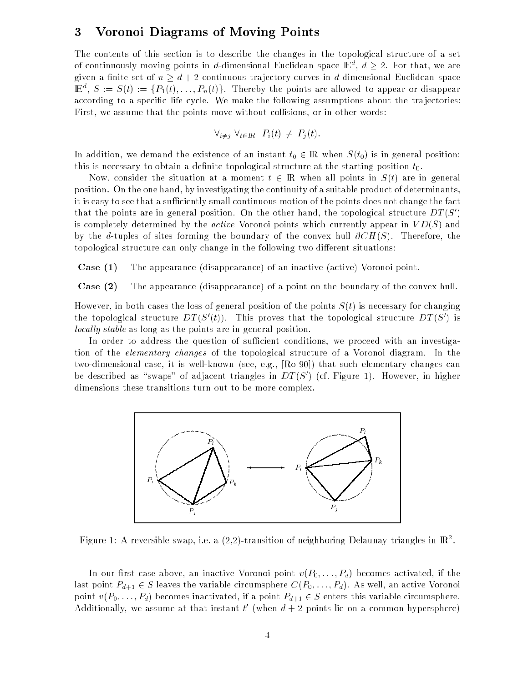#### 3Voronoi Diagrams of Moving Points

The contents of this section is to describe the changes in the topological structure of a set of continuously moving points in d-dimensional Euclidean space  $\mathbb{E}^{d}$ ,  $d \geq 2$ . For that, we are given a finite set of  $n \geq d + 2$  continuous trajectory curves in d-dimensional Euclidean space  $\mathbb{E}^d$ ,  $S := S(t) := \{P_1(t), \ldots, P_n(t)\}.$  Thereby the points are allowed to appear or disappear according to a specific life cycle. We make the following assumptions about the trajectories: First, we assume that the points move without collisions, or in other words:

$$
\forall_{i \neq j} \ \forall_{t \in \mathbb{R}} \ P_i(t) \neq P_j(t).
$$

In addition, we demand the existence of an instant  $t_0 \in \mathbb{R}$  when  $S(t_0)$  is in general position; this is necessary to obtain a definite topological structure at the starting position  $t_0$ .

Now, consider the situation at a moment  $t \in \mathbb{R}$  when all points in  $S(t)$  are in general position. On the one hand, by investigating the continuity of a suitable product of determinants, it is easy to see that a sufficiently small continuous motion of the points does not change the fact that the points are in general position. On the other hand, the topological structure  $DI$  (S) ( $S$ is completely determined by the *active* Voronoi points which currently appear in  $VD(S)$  and by the d-tuples of sites forming the boundary of the convex hull  $\partial CH(S)$ . Therefore, the topological structure can only change in the following two different situations:

Case (1) The appearance (disappearance) of an inactive (active) Voronoi point.

Case (2) The appearance (disappearance) of a point on the boundary of the convex hull.

However, in both cases the loss of general position of the points  $S(t)$  is necessary for changing the topological structure  $DI$  (S<sub>0</sub>). This proves that the topological structure  $DI$  (S<sub>0</sub>) is locally stable as long as the points are in general position.

In order to address the question of sufficient conditions, we proceed with an investigation of the elementary changes of the topological structure of a Voronoi diagram. In the two-dimensional case, it is well-known (see, e.g., [Ro 90]) that such elementary changes can be described as  $\,$  swaps  $\,$  of adjacent triangles in  $D$  (S)  $\,$  (cf. Figure 1). However, in higher dimensions these transitions turn out to be more complex.



Figure 1: A reversible swap, i.e. a (2,2)-transition of neighboring Delaunay triangles in IR<sup>2</sup> .

In our first case above, an inactive Voronoi point  $v(P_0, \ldots, P_d)$  becomes activated, if the last point  $P_{d+1} \in S$  leaves the variable circumsphere  $C(P_0, \ldots, P_d)$ . As well, an active Voronoi point  $v(P_0, \ldots, P_d)$  becomes inactivated, if a point  $P_{d+1} \in S$  enters this variable circumsphere. Additionally, we assume at that instant  $t^+$  (when  $a + 2$  points lie on a common hypersphere)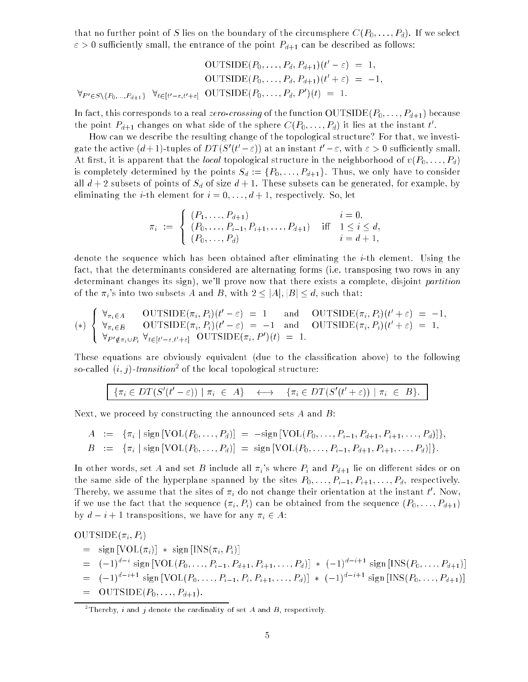that no further point of S lies on the boundary of the circumsphere  $C(P_0, \ldots, P_d)$ . If we select  $\varepsilon > 0$  sufficiently small, the entrance of the point  $P_{d+1}$  can be described as follows:

$$
\text{OUTSIDE}(P_0, \dots, P_d, P_{d+1})(t' - \varepsilon) = 1,
$$
  
OUTSIDE}(P\_0, \dots, P\_d, P\_{d+1})(t' + \varepsilon) = -1,  

$$
\forall_{P' \in S \setminus \{P_0, \dots, P_{d+1}\}} \ \forall_{t \in [t' - \varepsilon, t' + \varepsilon]} \ \text{OUTSIDE}(P_0, \dots, P_d, P')(t) = 1.
$$

In fact, this corresponds to a real *zero-crossing* of the function  $\text{OUTSIDE}(P_0, \ldots, P_{d+1})$  because the point  $P_{d+1}$  changes on what side of the sphere  $C(P_0, \ldots, P_d)$  it lies at the instant  $t$ .

How can we describe the resulting change of the topological structure? For that, we investigate the active  $(d+1)$ -tuples of  $DI$  ( $U=\varepsilon$ )) at an instant  $U=\varepsilon,$  with  $\varepsilon>0$  sumclently small. At first, it is apparent that the *local* topological structure in the neighborhood of  $v(P_0, \ldots, P_d)$ is completely determined by the points  $S_d := \{P_0, \ldots, P_{d+1}\}.$  Thus, we only have to consider all  $d+2$  subsets of points of  $S_d$  of size  $d+1$ . These subsets can be generated, for example, by eliminating the *i*-th element for  $i = 0, \ldots, d+1$ , respectively. So, let

$$
\pi_i := \begin{cases}\n(P_1, \ldots, P_{d+1}) & i = 0, \\
(P_0, \ldots, P_{i-1}, P_{i+1}, \ldots, P_{d+1}) & \text{iff} \quad 1 \leq i \leq d, \\
(P_0, \ldots, P_d) & i = d+1,\n\end{cases}
$$

denote the sequence which has been obtained after eliminating the i-th element. Using the fact, that the determinants considered are alternating forms (i.e. transposing two rows in any determinant changes its sign), we'll prove now that there exists a complete, disjoint partition of the  $\pi_i$ 's into two subsets A and B, with  $2 \leq |A|, |B| \leq d$ , such that:

$$
(*)\begin{cases}\n\forall_{\pi_i \in A} \quad \text{OUTSIDE}(\pi_i, P_i)(t' - \varepsilon) = 1 \quad \text{and} \quad \text{OUTSIDE}(\pi_i, P_i)(t' + \varepsilon) = -1, \\
\forall_{\pi_i \in B} \quad \text{OUTSIDE}(\pi_i, P_i)(t' - \varepsilon) = -1 \quad \text{and} \quad \text{OUTSIDE}(\pi_i, P_i)(t' + \varepsilon) = 1, \\
\forall_{P' \notin \pi_i \cup P_i} \forall_{t \in [t' - \varepsilon, t' + \varepsilon]} \quad \text{OUTSIDE}(\pi_i, P')(t) = 1.\n\end{cases}
$$

These equations are obviously equivalent (due to the classication above) to the following so-called (*t*, *j*)-*transition*- of the local topological structure:

$$
\{\pi_i \in DT(S'(t'-\varepsilon)) \mid \pi_i \in A\} \quad \longleftrightarrow \quad \{\pi_i \in DT(S'(t'+\varepsilon)) \mid \pi_i \in B\}.
$$

Next, we proceed by constructing the announced sets A and  $B$ :

$$
A := \{\pi_i \mid \text{sign}[\text{VOL}(P_0, \ldots, P_d)] = -\text{sign}[\text{VOL}(P_0, \ldots, P_{i-1}, P_{d+1}, P_{i+1}, \ldots, P_d)]\},
$$
  
\n
$$
B := \{\pi_i \mid \text{sign}[\text{VOL}(P_0, \ldots, P_d)] = \text{sign}[\text{VOL}(P_0, \ldots, P_{i-1}, P_{d+1}, P_{i+1}, \ldots, P_d)]\}.
$$

In other words, set A and set B include all  $\pi_i$ 's where  $P_i$  and  $P_{d+1}$  lie on different sides or on the same side of the hyperplane spanned by the sites  $P_0, \ldots, P_{i-1}, P_{i+1}, \ldots, P_d$ , respectively. Thereby, we assume that the sites of  $\pi_i$  do not change their orientation at the instant  $\iota$  . Now, if we use the fact that the sequence  $(\pi_i, P_i)$  can be obtained from the sequence  $(P_0, \ldots, P_{d+1})$ by  $d - i + 1$  transpositions, we have for any  $\pi_i \in A$ :

 $OUTSIDE(\pi_i, P_i)$  $=$  sign  $[VOL(\pi_i)]$  \* sign  $[INS(\pi_i, P_i)]$  $= (-1)^{d-i}$  sign  $[{\rm VOL}(P_0, \ldots, P_{i-1}, P_{d+1}, P_{i+1}, \ldots, P_d)]$  \*  $(-1)^{d-i+1}$  sign  $[{\rm INS}(P_0, \ldots, P_{d+1})]$  $=(-1)^{d-i+1}$  sign  $[{\rm VOL}(P_0, \ldots, P_{i-1}, P_i, P_{i+1}, \ldots, P_d)]$  \*  $(-1)^{d-i+1}$  sign  $[{\rm INS}(P_0, \ldots, P_{d+1})]$  $OUTSIDE(P_0, \ldots, P_{d+1}).$ 

<sup>&</sup>lt;sup>2</sup>Thereby, i and j denote the cardinality of set A and B, respectively.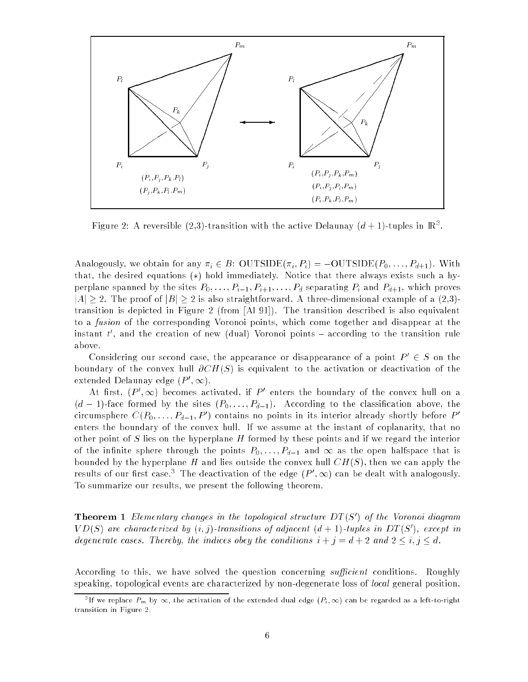

Figure 2: A reversible (2,3)-transition with the active Delaunay ( $a+1$ )-tuples in IR3.

Analogously, we obtain for any  $\pi_i \in B$ :  $\text{OUTSIDE}(\pi_i, P_i) = -\text{OUTSIDE}(P_0, \ldots, P_{d+1})$ . With that, the desired equations  $(*)$  hold immediately. Notice that there always exists such a hyperplane spanned by the sites  $P_0, \ldots, P_{i-1}, P_{i+1}, \ldots, P_d$  separating  $P_i$  and  $P_{d+1}$ , which proves  $|A| \geq 2$ . The proof of  $|B| \geq 2$  is also straightforward. A three-dimensional example of a (2,3)transition is depicted in Figure 2 (from [Al 91]). The transition described is also equivalent to a fusion of the corresponding Voronoi points, which come together and disappear at the instant  $t$  , and the creation of new (dual) voronoi points  $-$  according to the transition rule above.

Considering our second case, the appearance or disappearance of a point  $P_-\in \mathcal{S}$  on the boundary of the convex hull  $\partial CH(S)$  is equivalent to the activation or deactivation of the extended Delaunay edge  $(F, \infty)$ .

At first,  $\{F_-, \infty\}$  becomes activated, if  $F_-$  enters the boundary of the convex null on a  $(d-1)$ -face formed by the sites  $(P_0, \ldots, P_{d-1})$ . According to the classification above, the circumsphere  $C(P_0, \ldots, P_{d-1}, F$  ) contains no points in its interior already shortly before  $F$ enters the boundary of the convex hull. If we assume at the instant of coplanarity, that no other point of S lies on the hyperplane  $H$  formed by these points and if we regard the interior of the infinite sphere through the points  $P_0, \ldots, P_{d-1}$  and  $\infty$  as the open halfspace that is bounded by the hyperplane H and lies outside the convex hull  $CH(S)$ , then we can apply the results of our first case. The deactivation of the edge  $(P^*,\infty)$  can be dealt with analogously. To summarize our results, we present the following theorem.

**Theorem I** Elementary changes in the topological structure DI(S) of the Voronoi atagram  $V D(S)$  are characterized by  $(i, j)$ -transitions of adjacent  $(a + 1)$ -tuples in  $D I(S)$ , except in degenerate cases. Thereby, the indices obey the conditions  $i + j = d + 2$  and  $2 \leq i, j \leq d$ .

According to this, we have solved the question concerning *sufficient* conditions. Roughly speaking, topological events are characterized by non-degenerate loss of local general position,

 $^3$ If we replace  $P_m$  by  $\infty$ , the activation of the extended dual edge  $(P_i,\infty)$  can be regarded as a left-to-right transition in Figure 2.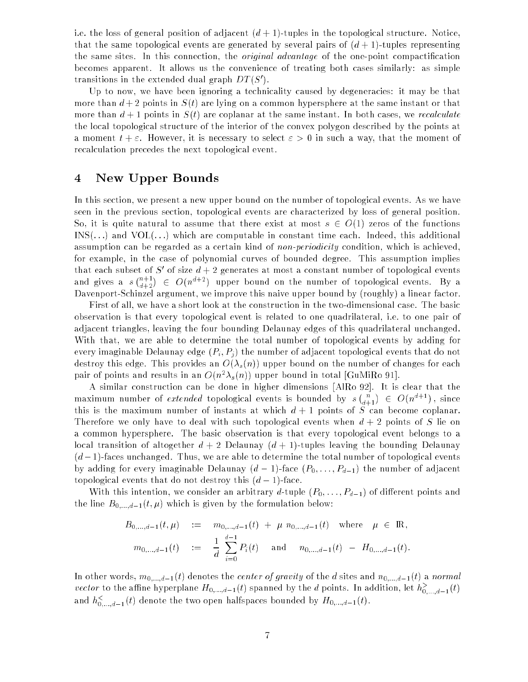i.e. the loss of general position of adjacent  $(d + 1)$ -tuples in the topological structure. Notice, that the same topological events are generated by several pairs of  $(d+1)$ -tuples representing the same sites. In this connection, the *original advantage* of the one-point compactification becomes apparent. It allows us the convenience of treating both cases similarly: as simple transitions in the extended dual graph  $DI$  (S).

Up to now, we have been ignoring a technicality caused by degeneracies: it may be that more than  $d+2$  points in  $S(t)$  are lying on a common hypersphere at the same instant or that more than  $d+1$  points in  $S(t)$  are coplanar at the same instant. In both cases, we recalculate the local topological structure of the interior of the convex polygon described by the points at a moment  $t + \varepsilon$ . However, it is necessary to select  $\varepsilon > 0$  in such a way, that the moment of recalculation precedes the next topological event.

#### 4New Upper Bounds

In this section, we present a new upper bound on the number of topological events. As we have seen in the previous section, topological events are characterized by loss of general position. So, it is quite natural to assume that there exist at most  $s \in O(1)$  zeros of the functions  $INS(...)$  and  $VOL(...)$  which are computable in constant time each. Indeed, this additional assumption can be regarded as a certain kind of *non-periodicity* condition, which is achieved, for example, in the case of polynomial curves of bounded degree. This assumption implies that each subset of  $S$  of size  $a + 2$  generates at most a constant number of topological events  $\sim$   $\sim$   $\sim$   $\sim$   $\sim$   $\sim$  $\binom{n+1}{d+2}$  $\in$   $O(n^{d+2})$  upper bound on the number of topological events. By a Davenport-Schinzel argument, we improve this naive upper bound by (roughly) a linear factor.

First of all, we have a short look at the construction in the two-dimensional case. The basic observation is that every topological event is related to one quadrilateral, i.e. to one pair of adjacent triangles, leaving the four bounding Delaunay edges of this quadrilateral unchanged. With that, we are able to determine the total number of topological events by adding for every imaginable Delaunay edge  $(P_i, P_j)$  the number of adjacent topological events that do not destroy this edge. This provides an  $O(\lambda_s(n))$  upper bound on the number of changes for each pair of points and results in an  $O(n^2 \lambda_s(n))$  upper bound in total [GuMiRo 91].

A similar construction can be done in higher dimensions [AlRo 92]. It is clear that the maximum number of extended topological events is bounded by s  $\binom{n}{d+1}$  $\in O(n^{d+1})$ , since this is the maximum number of instants at which  $d+1$  points of S can become coplanar. Therefore we only have to deal with such topological events when  $d + 2$  points of S lie on a common hypersphere. The basic observation is that every topological event belongs to a local transition of altogether  $d + 2$  Delaunay  $(d + 1)$ -tuples leaving the bounding Delaunay  $(d-1)$ -faces unchanged. Thus, we are able to determine the total number of topological events by adding for every imaginable Delaunay  $(d-1)$ -face  $(P_0, \ldots, P_{d-1})$  the number of adjacent topological events that do not destroy this  $(d-1)$ -face.

With this intention, we consider an arbitrary d-tuple  $(P_0, \ldots, P_{d-1})$  of different points and the line  $B_{0,\ldots,d-1}(t,\mu)$  which is given by the formulation below:

$$
B_{0,\dots,d-1}(t,\mu) := m_{0,\dots,d-1}(t) + \mu n_{0,\dots,d-1}(t) \text{ where } \mu \in \mathbb{R},
$$
  
\n
$$
m_{0,\dots,d-1}(t) := \frac{1}{d} \sum_{i=0}^{d-1} P_i(t) \text{ and } n_{0,\dots,d-1}(t) - H_{0,\dots,d-1}(t).
$$

In other words,  $m_{0,...,d-1}(t)$  denotes the *center of gravity* of the  $d$  sites and  $n_{0,...,d-1}(t)$  a normal vector to the affine hyperplane  $H_{0,...,d-1}(t)$  spanned by the d points. In addition, let  $h^>_{0,...,d-1}(t)$ and  $h^<_{0,...,d-1}(t)$  denote the two open halfspaces bounded by  $H_{0,...,d-1}(t).$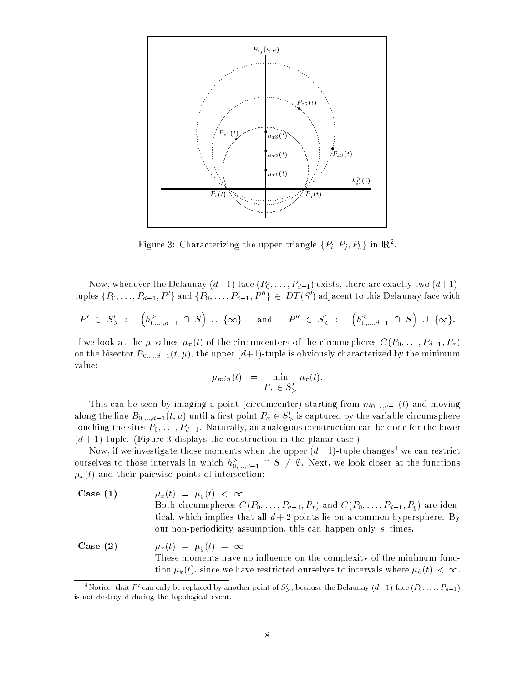

Figure 3: Characterizing the upper triangle  $\{F_i, F_j, F_k\}$  in IR<sup>2</sup>.

Now, whenever the Delaunay  $(d-1)$ -face  $(P_0, \ldots, P_{d-1})$  exists, there are exactly two  $(d+1)$ tuples  $\{P_0, \ldots, P_{d-1}, P^*\}$  and  $\{P_0, \ldots, P_{d-1}, P^*\} \in \mathcal{D}I\left(\mathcal{S}\right)$  adjacent to this Delaunay face with

$$
P' \in S'_{>} := (h^>_{0,\dots,d-1} \cap S) \cup \{\infty\} \text{ and } P'' \in S'_{<} := (h^<_{0,\dots,d-1} \cap S) \cup \{\infty\}.
$$

If we look at the  $\mu$ -values  $\mu_x(t)$  of the circumcenters of the circumspheres  $C(P_0, \ldots, P_{d-1}, P_x)$ on the bisector  $B_{0,...,d-1}(t,\mu)$ , the upper  $(d+1)$ -tuple is obviously characterized by the minimum value:

$$
\mu_{min}(t) := \min_{P_x \in S'_>} \mu_x(t).
$$

This can be seen by imaging a point (circumcenter) starting from  $m_{0,...,d-1}(t)$  and moving along the line  $B_{0,...,d-1}(t,\mu)$  until a first point  $P_x\in S_{>0}$  is captured by the variable circumsphere touching the sites  $P_0, \ldots, P_{d-1}$ . Naturally, an analogous construction can be done for the lower  $(d+1)$ -tuple. (Figure 3 displays the construction in the planar case.)

Now, if we investigate those moments when the upper  $(d+1)$ -tuple changes<sup>4</sup> we can restrict ourselves to those intervals in which  $h^>_{0, ..., d-1} \, \cap \, S \, \neq \, \emptyset.$  Next, we look closer at the functions  $\mu_x(t)$  and their pairwise points of intersection:

- Case (1)  $\mu_x(t) = \mu_y(t) < \infty$ Both circumspheres  $C(P_0, \ldots, P_{d-1}, P_x)$  and  $C(P_0, \ldots, P_{d-1}, P_y)$  are identical, which implies that all  $d+2$  points lie on a common hypersphere. By our non-periodicity assumption, this can happen only s times.
- Case (2)  $\mu_x(t) = \mu_y(t) = \infty$ These moments have no influence on the complexity of the minimum function  $\mu_k(t)$ , since we have restricted ourselves to intervals where  $\mu_k(t) < \infty$ .

<sup>&</sup>quot;Notice, that P' can only be replaced by another point of  $S'_{\geq}$ , because the Delaunay  $(d-1)$ -face  $(P_0,\ldots,P_{d-1})$ is not destroyed during the topological event.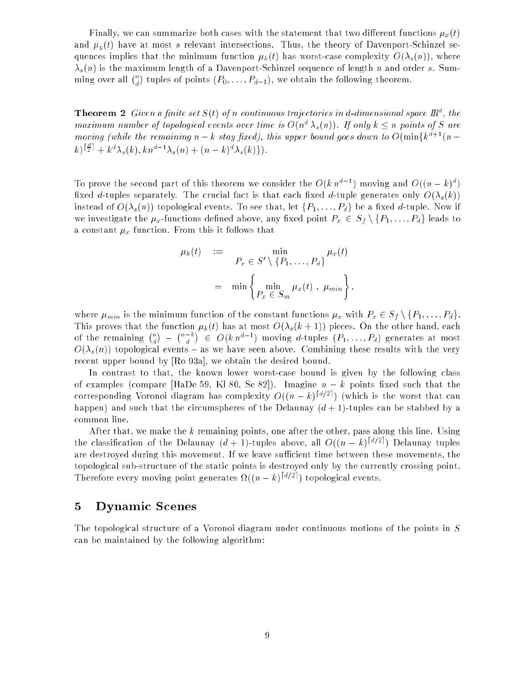Finally, we can summarize both cases with the statement that two different functions  $\mu_x(t)$ and  $\mu_y(t)$  have at most s relevant intersections. Thus, the theory of Davenport-Schinzel sequences implies that the minimum function  $\mu_k(t)$  has worst-case complexity  $O(\lambda_s(n))$ , where  $\lambda_s(n)$  is the maximum length of a Davenport-Schinzel sequence of length n and order s. Summing over all  $\binom{n}{d}$  tuples of points  $(P_0, \ldots, P_{d-1})$ , we obtain the following theorem.

**Theorem 2** Given a finite set  $S(t)$  of n continuous trajectories in d-dimensional space  $\mathbb{R}^d$ , the maximum number of topological events over time is  $O(n^d \lambda_s(n))$ . If only  $k \leq n$  points of S are moving (while the remaining  $n - k$  stay fixed), this upper bound goes down to  $O(\min\{k^{d+1}(n - k)\})$  $(k)^{\left[\frac{a}{2}\right]} + k^d \lambda_s(k)$ ,  $k n^{d-1} \lambda_s(n) + (n-k)^d \lambda_s(k)$ .

To prove the second part of this theorem we consider the  $O(k n^{d-1})$  moving and  $O((n-k)^d)$ fixed d-tuples separately. The crucial fact is that each fixed d-tuple generates only  $O(\lambda_s(k))$ instead of  $O(\lambda_s(n))$  topological events. To see that, let  $\{P_1,\ldots,P_d\}$  be a fixed d-tuple. Now if we investigate the  $\mu_x$ -functions defined above, any fixed point  $P_x \in S_f \setminus \{P_1, \ldots, P_d\}$  leads to a constant  $\mu_x$  function. From this it follows that

$$
\mu_k(t) := \min_{P_x \in S' \setminus \{P_1, \ldots, P_d\}} \mu_x(t)
$$

$$
= \min \left\{ \min_{P_x \in S_m} \mu_x(t), \mu_{min} \right\},
$$

where  $\mu_{min}$  is the minimum function of the constant functions  $\mu_x$  with  $P_x \in S_f \setminus \{P_1, \ldots, P_d\}.$ This proves that the function  $\mu_k(t)$  has at most  $O(\lambda_s(k+1))$  pieces. On the other hand, each of the remaining  $\binom{n}{d}$  $(n-k)$  $\binom{-k}{d}$  $\in O(k n^{d-1})$  moving d-tuples  $(P_1, \ldots, P_d)$  generates at most  $O(\lambda_s(n))$  topological events – as we have seen above. Combining these results with the very recent upper bound by [Ro 93a], we obtain the desired bound.

In contrast to that, the known lower worst-case bound is given by the following class of examples (compare [HaDe 59, K180, Se 82]). Imagine  $n - k$  points fixed such that the corresponding Voronoi diagram has complexity  $O((n-k)^{[d/2]})$  (which is the worst that can happen) and such that the circumspheres of the Delaunay  $(d + 1)$ -tuples can be stabbed by a common line.

After that, we make the  $k$  remaining points, one after the other, pass along this line. Using the classification of the Delaunay  $(d + 1)$ -tuples above, all  $O((n - k)^{\lceil d/2 \rceil})$  Delaunay tuples are destroyed during this movement. If we leave sufficient time between these movements, the topological sub-structure of the static points is destroyed only by the currently crossing point. Therefore every moving point generates  $\Omega((n-k)^{\lceil d/2 \rceil})$  topological events.

#### 5Dynamic Scenes

The topological structure of a Voronoi diagram under continuous motions of the points in S can be maintained by the following algorithm: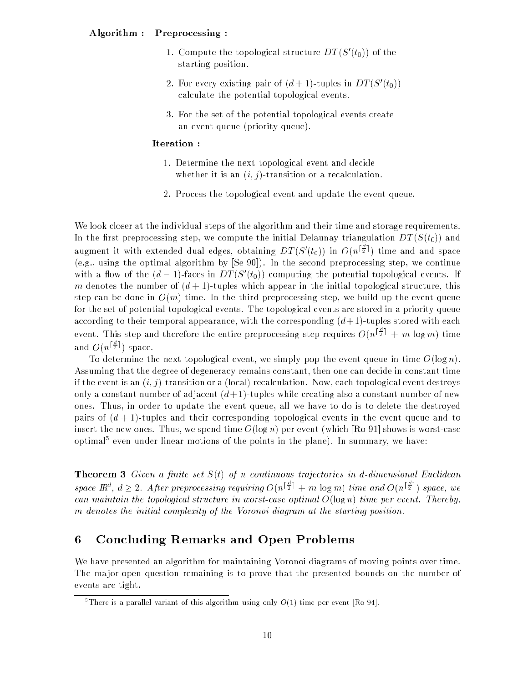- 1. Compute the topological structure  $DI$  (5 ( $t_0$ )) of the starting position.
- 2. For every existing pair of  $(a + 1)$ -tuples in DT (5  $(u_0)$ ) calculate the potential topological events.
- 3. For the set of the potential topological events create an event queue (priority queue).

## Iteration :

- 1. Determine the next topological event and decide whether it is an  $(i, j)$ -transition or a recalculation.
- 2. Process the topological event and update the event queue.

We look closer at the individual steps of the algorithm and their time and storage requirements. In the first preprocessing step, we compute the initial Delaunay triangulation  $DT(S(t_0))$  and augment it with extended dual edges, obtaining  $DT(S'(t_0))$  in  $O(n^{\frac{1}{2}l})$  time and and space (e.g., using the optimal algorithm by [Se 90]). In the second preprocessing step, we continue with a flow of the  $(a - 1)$ -faces in  $DI$  ( $S$  ( $t_0$ )) computing the potential topological events. If m denotes the number of  $(d + 1)$ -tuples which appear in the initial topological structure, this step can be done in  $O(m)$  time. In the third preprocessing step, we build up the event queue for the set of potential topological events. The topological events are stored in a priority queue according to their temporal appearance, with the corresponding  $(d+1)$ -tuples stored with each event. This step and therefore the entire preprocessing step requires  $O(n^{\frac{1}{2}} + m \log m)$  time and  $O(n^{\lfloor \frac{n}{2} \rfloor})$ ) space.

To determine the next topological event, we simply pop the event queue in time  $O(\log n)$ . Assuming that the degree of degeneracy remains constant, then one can decide in constant time if the event is an  $(i, j)$ -transition or a (local) recalculation. Now, each topological event destroys only a constant number of adjacent  $(d+1)$ -tuples while creating also a constant number of new ones. Thus, in order to update the event queue, all we have to do is to delete the destroyed pairs of  $(d + 1)$ -tuples and their corresponding topological events in the event queue and to insert the new ones. Thus, we spend time  $O(\log n)$  per event (which [Ro 91] shows is worst-case optimal" even under linear motions of the points in the plane). In summary, we have:

**Theorem 3** Given a finite set  $S(t)$  of n continuous trajectories in d-dimensional Euclidean space  $\mathbb{R}^d$ ,  $d \geq 2$ . After preprocessing requiring  $O(n^{\left[\frac{\alpha}{2}\right]} + m \log m)$  time and  $O(n^{\left[\frac{\alpha}{2}\right]})$  space, we can maintain the topological structure in worst-case optimal  $O(\log n)$  time per event. Thereby, m denotes the initial complexity of the Voronoi diagram at the starting position.

### 6Concluding Remarks and Open Problems

We have presented an algorithm for maintaining Voronoi diagrams of moving points over time. The major open question remaining is to prove that the presented bounds on the number of events are tight.

 $^{\circ}$ There is a parallel variant of this algorithm using only  $O(1)$  time per event [Ro 94].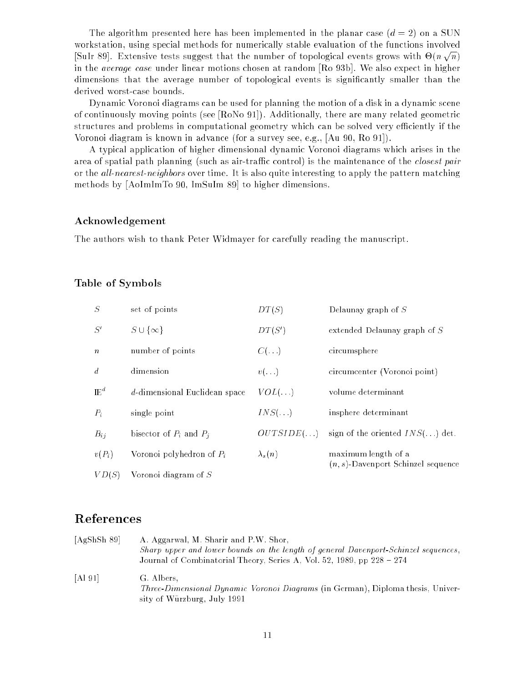The algorithm presented here has been implemented in the planar case  $(d = 2)$  on a SUN workstation, using special methods for numerically stable evaluation of the functions involved  $\mathcal{S}$  and the number of the number of the number of the number of the number of the number of the number of the number of the number of the number of the number of the number of the number of the number of the number o  $\sqrt{n}$ in the average case under linear motions chosen at random [Ro 93b]. We also expect in higher dimensions that the average number of topological events is signicantly smaller than the derived worst-case bounds.

Dynamic Voronoi diagrams can be used for planning the motion of a disk in a dynamic scene of continuously moving points (see [RoNo 91]). Additionally, there are many related geometric structures and problems in computational geometry which can be solved very efficiently if the Voronoi diagram is known in advance (for a survey see, e.g., [Au 90, Ro 91]).

A typical application of higher dimensional dynamic Voronoi diagrams which arises in the area of spatial path planning (such as air-traffic control) is the maintenance of the *closest pair* or the *all-nearest-neighbors* over time. It is also quite interesting to apply the pattern matching methods by [AoImImTo 90, ImSuIm 89] to higher dimensions.

### Acknowledgement

The authors wish to thank Peter Widmayer for carefully reading the manuscript.

## Table of Symbols

| $\cal S$         | set of points                 | DT(S)          | Delaunay graph of $S$                                        |  |
|------------------|-------------------------------|----------------|--------------------------------------------------------------|--|
| S'               | $S \cup \{\infty\}$           | DT(S')         | extended Delaunay graph of $S$                               |  |
| $\boldsymbol{n}$ | number of points              | $C(\ldots)$    | circumsphere                                                 |  |
| $\overline{d}$   | dimension                     | $v(\ldots)$    | circumcenter (Voronoi point)                                 |  |
| $\mathbb{E}^d$   | d-dimensional Euclidean space | $VOL(\ldots)$  | volume determinant                                           |  |
| $P_i$            | single point                  | $INS(\ldots)$  | insphere determinant                                         |  |
| $B_{ij}$         | bisector of $P_i$ and $P_j$   | OUTSIDE()      | sign of the oriented $INS$ . ) det.                          |  |
| $v(P_i)$         | Voronoi polyhedron of $P_i$   | $\lambda_s(n)$ | maximum length of a<br>$(n, s)$ -Davenport Schinzel sequence |  |
| VD(S)            | Voronoi diagram of $S$        |                |                                                              |  |

| [AgShSh 89] | A. Aggarwal, M. Sharir and P.W. Shor,<br>Sharp upper and lower bounds on the length of general Davenport-Schinzel sequences,        |
|-------------|-------------------------------------------------------------------------------------------------------------------------------------|
|             | Journal of Combinatorial Theory, Series A, Vol. 52, 1989, pp $228 - 274$                                                            |
| [A] 91]     | G. Albers,<br><i>Three-Dimensional Dynamic Voronoi Diagrams</i> (in German), Diploma thesis, Univer-<br>sity of Würzburg, July 1991 |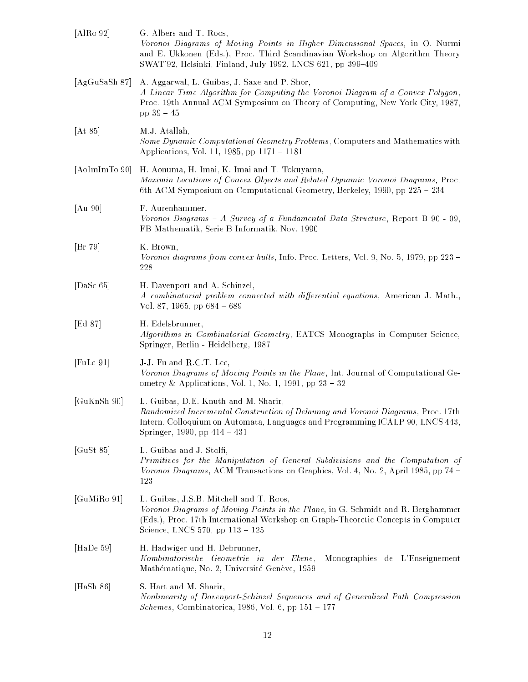| [AlRo 92]     | G. Albers and T. Roos,<br>Voronoi Diagrams of Moving Points in Higher Dimensional Spaces, in O. Nurmi<br>and E. Ukkonen (Eds.), Proc. Third Scandinavian Workshop on Algorithm Theory<br>SWAT'92, Helsinki, Finland, July 1992, LNCS 621, pp 399-409 |
|---------------|------------------------------------------------------------------------------------------------------------------------------------------------------------------------------------------------------------------------------------------------------|
| [AgGuSaSh 87] | A. Aggarwal, L. Guibas, J. Saxe and P. Shor,<br>A Linear Time Algorithm for Computing the Voronoi Diagram of a Convex Polygon,<br>Proc. 19th Annual ACM Symposium on Theory of Computing, New York City, 1987,<br>$pp 39 - 45$                       |
| [At 85]       | M.J. Atallah,<br>Some Dynamic Computational Geometry Problems, Computers and Mathematics with<br>Applications, Vol. 11, 1985, pp 1171 – 1181                                                                                                         |
| [AoImImTo 90] | H. Aonuma, H. Imai, K. Imai and T. Tokuyama,<br>Maximin Locations of Convex Objects and Related Dynamic Voronoi Diagrams, Proc.<br>6th ACM Symposium on Computational Geometry, Berkeley, 1990, pp 225 - 234                                         |
| [Au 90]       | F. Aurenhammer,<br>Voronoi Diagrams - A Survey of a Fundamental Data Structure, Report B $90 - 09$ ,<br>FB Mathematik, Serie B Informatik, Nov. 1990                                                                                                 |
| [Br 79]       | K. Brown,<br>Voronoi diagrams from convex hulls, Info. Proc. Letters, Vol. 9, No. 5, 1979, pp 223 –<br>228                                                                                                                                           |
| [DaSc $65$ ]  | H. Davenport and A. Schinzel,<br>A combinatorial problem connected with differential equations, American J. Math.,<br>Vol. 87, 1965, pp $684 - 689$                                                                                                  |
| [Ed $87$ ]    | H. Edelsbrunner,<br>Algorithms in Combinatorial Geometry, EATCS Monographs in Computer Science,<br>Springer, Berlin - Heidelberg, 1987                                                                                                               |
| [Fulle 91]    | J-J. Fu and R.C.T. Lee,<br>Voronoi Diagrams of Moving Points in the Plane, Int. Journal of Computational Ge-<br>ometry & Applications, Vol. 1, No. 1, 1991, pp $23 - 32$                                                                             |
| [GuKnSh 90]   | L. Guibas, D.E. Knuth and M. Sharir,<br>Randomized Incremental Construction of Delaunay and Voronoi Diagrams, Proc. 17th<br>Intern. Colloquium on Automata, Languages and Programming ICALP 90, LNCS 443,<br>Springer, 1990, pp 414 – 431            |
| [ $G$ uSt 85] | L. Guibas and J. Stolfi,<br>Primitives for the Manipulation of General Subdivisions and the Computation of<br>Voronoi Diagrams, ACM Transactions on Graphics, Vol. 4, No. 2, April 1985, pp 74 -<br>123                                              |
| [GuMiRo 91]   | L. Guibas, J.S.B. Mitchell and T. Roos,<br>Voronoi Diagrams of Moving Points in the Plane, in G. Schmidt and R. Berghammer<br>(Eds.), Proc. 17th International Workshop on Graph-Theoretic Concepts in Computer<br>Science, LNCS 570, pp 113 - 125   |
| [HaDe $59$ ]  | H. Hadwiger und H. Debrunner,<br>Kombinatorische Geometrie in der Ebene,<br>Monographies de L'Enseignement<br>Mathématique, No. 2, Université Genève, 1959                                                                                           |
| [Hash 86]     | S. Hart and M. Sharir,<br>Nonlinearity of Davenport-Schinzel Sequences and of Generalized Path Compression<br><i>Schemes</i> , Combinatorica, 1986, Vol. 6, pp $151 - 177$                                                                           |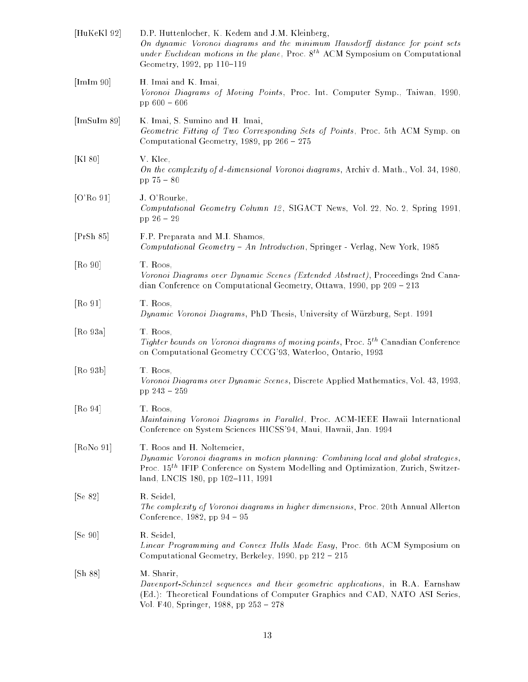| [HuKeKl 92]                     | D.P. Huttenlocher, K. Kedem and J.M. Kleinberg,<br>On dynamic Voronoi diagrams and the minimum Hausdorff distance for point sets<br>under Euclidean motions in the plane, Proc. $8^{th}$ ACM Symposium on Computational<br>Geometry, 1992, pp 110-119   |
|---------------------------------|---------------------------------------------------------------------------------------------------------------------------------------------------------------------------------------------------------------------------------------------------------|
| [ImIm 90]                       | H. Imai and K. Imai,<br>Voronoi Diagrams of Moving Points, Proc. Int. Computer Symp., Taiwan, 1990,<br>pp $600 - 606$                                                                                                                                   |
| [ImSuIm 89]                     | K. Imai, S. Sumino and H. Imai,<br>Geometric Fitting of Two Corresponding Sets of Points, Proc. 5th ACM Symp. on<br>Computational Geometry, 1989, pp 266 - 275                                                                                          |
| [Kl 80]                         | V. Klee,<br>On the complexity of d-dimensional Voronoi diagrams, Archiv d. Math., Vol. 34, 1980,<br>$pp 75 - 80$                                                                                                                                        |
| [ $O'Ro$ 91]                    | J. O'Rourke,<br>Computational Geometry Column 12, SIGACT News, Vol. 22, No. 2, Spring 1991,<br>pp $26 - 29$                                                                                                                                             |
| [PrSh 85]                       | F.P. Preparata and M.I. Shamos,<br>Computational Geometry - An Introduction, Springer - Verlag, New York, 1985                                                                                                                                          |
| [Ro 90]                         | T. Roos,<br>Voronoi Diagrams over Dynamic Scenes (Extended Abstract), Proceedings 2nd Cana-<br>dian Conference on Computational Geometry, Ottawa, 1990, pp 209 - 213                                                                                    |
| [Ro 91]                         | T. Roos,<br>Dynamic Voronoi Diagrams, PhD Thesis, University of Würzburg, Sept. 1991                                                                                                                                                                    |
| [Ro 93a]                        | T. Roos,<br><i>Tighter bounds on Voronoi diagrams of moving points, Proc.</i> 5 <sup>th</sup> Canadian Conference<br>on Computational Geometry CCCG'93, Waterloo, Ontario, 1993                                                                         |
| [Ro 93b]                        | T. Roos,<br>Voronoi Diagrams over Dynamic Scenes, Discrete Applied Mathematics, Vol. 43, 1993,<br>pp 243 - 259                                                                                                                                          |
| $\lbrack \text{Ro } 94 \rbrack$ | T. Roos,<br>Maintaining Voronoi Diagrams in Parallel, Proc. ACM-IEEE Hawaii International<br>Conference on System Sciences HICSS'94, Maui, Hawaii, Jan. 1994                                                                                            |
| [RoNo 91]                       | T. Roos and H. Noltemeier,<br>Dynamic Voronoi diagrams in motion planning: Combining local and global strategies,<br>Proc. 15 <sup>th</sup> IFIP Conference on System Modelling and Optimization, Zurich, Switzer-<br>land, LNCIS 180, pp 102-111, 1991 |
| [Se 82]                         | R. Seidel,<br>The complexity of Voronoi diagrams in higher dimensions, Proc. 20th Annual Allerton<br>Conference, $1982$ , pp $94 - 95$                                                                                                                  |
| [Se 90]                         | R. Seidel,<br>Linear Programming and Convex Hulls Made Easy, Proc. 6th ACM Symposium on<br>Computational Geometry, Berkeley, 1990, pp 212 - 215                                                                                                         |
| [Sh 88]                         | M. Sharir,<br>Davenport-Schinzel sequences and their geometric applications, in R.A. Earnshaw<br>(Ed.): Theoretical Foundations of Computer Graphics and CAD, NATO ASI Series,<br>Vol. F40, Springer, 1988, pp 253 - 278                                |